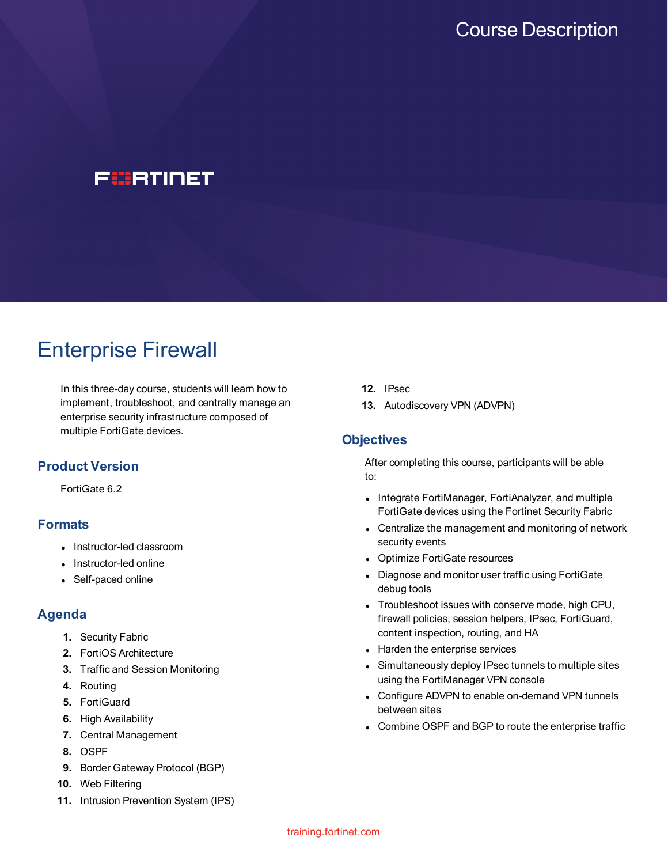

# Enterprise Firewall

In this three-day course, students will learn how to implement, troubleshoot, and centrally manage an enterprise security infrastructure composed of multiple FortiGate devices.

## **Product Version**

FortiGate 6.2

## **Formats**

- Instructor-led classroom
- Instructor-led online
- Self-paced online

## **Agenda**

- **1.** Security Fabric
- **2.** FortiOS Architecture
- **3.** Traffic and Session Monitoring
- **4.** Routing
- **5.** FortiGuard
- **6.** High Availability
- **7.** Central Management
- **8.** OSPF
- **9.** Border Gateway Protocol (BGP)
- **10.** Web Filtering
- **11.** Intrusion Prevention System (IPS)
- **12.** IPsec
- **13.** Autodiscovery VPN (ADVPN)

#### **Objectives**

After completing this course, participants will be able to:

- Integrate FortiManager, FortiAnalyzer, and multiple FortiGate devices using the Fortinet Security Fabric
- Centralize the management and monitoring of network security events
- Optimize FortiGate resources
- Diagnose and monitor user traffic using FortiGate debug tools
- Troubleshoot issues with conserve mode, high CPU, firewall policies, session helpers, IPsec, FortiGuard, content inspection, routing, and HA
- Harden the enterprise services
- Simultaneously deploy IPsec tunnels to multiple sites using the FortiManager VPN console
- Configure ADVPN to enable on-demand VPN tunnels between sites
- Combine OSPF and BGP to route the enterprise traffic